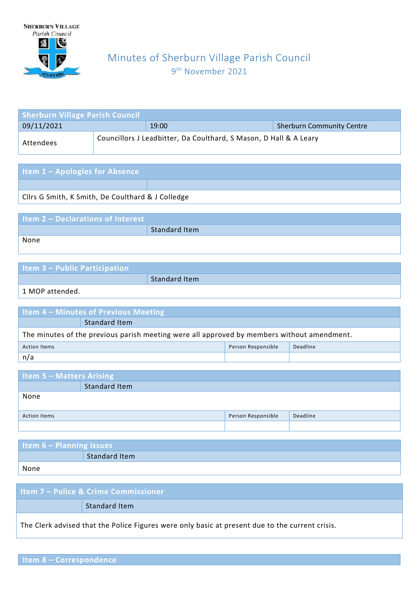

# Minutes of Sherburn Village Parish Council 9 th November 2021

| <b>Sherburn Village Parish Council</b> |  |                                                                   |                                  |  |
|----------------------------------------|--|-------------------------------------------------------------------|----------------------------------|--|
| 09/11/2021                             |  | 19:00                                                             | <b>Sherburn Community Centre</b> |  |
| Attendees                              |  | Councillors J Leadbitter, Da Coulthard, S Mason, D Hall & A Leary |                                  |  |

| <b>Item 1 - Apologies for Absence</b>             |  |
|---------------------------------------------------|--|
|                                                   |  |
| Cllrs G Smith, K Smith, De Coulthard & J Colledge |  |

| <b>Item 2 - Declarations of Interest</b> |               |
|------------------------------------------|---------------|
|                                          | Standard Item |
| None                                     |               |

| <b>Item 3 - Public Participation</b> |               |
|--------------------------------------|---------------|
|                                      | Standard Item |

1 MOP attended.

| Item 4 - Minutes of Previous Meeting                                                       |                      |  |  |
|--------------------------------------------------------------------------------------------|----------------------|--|--|
|                                                                                            | <b>Standard Item</b> |  |  |
| The minutes of the previous parish meeting were all approved by members without amendment. |                      |  |  |
| Person Responsible<br>Deadline<br><b>Action Items</b>                                      |                      |  |  |
| n/a                                                                                        |                      |  |  |

| <b>Item 5 - Matters Arising</b> |                      |                    |          |
|---------------------------------|----------------------|--------------------|----------|
|                                 | <b>Standard Item</b> |                    |          |
| None                            |                      |                    |          |
| <b>Action Items</b>             |                      | Person Responsible | Deadline |
|                                 |                      |                    |          |

| Item $6$ – Planning issues |                      |  |
|----------------------------|----------------------|--|
|                            | <b>Standard Item</b> |  |
| None                       |                      |  |

| <b>Litem 7 – Police &amp; Crime Commissioner</b> |                                                                                                 |  |
|--------------------------------------------------|-------------------------------------------------------------------------------------------------|--|
|                                                  | <b>Standard Item</b>                                                                            |  |
|                                                  | The Clerk advised that the Police Figures were only basic at present due to the current crisis. |  |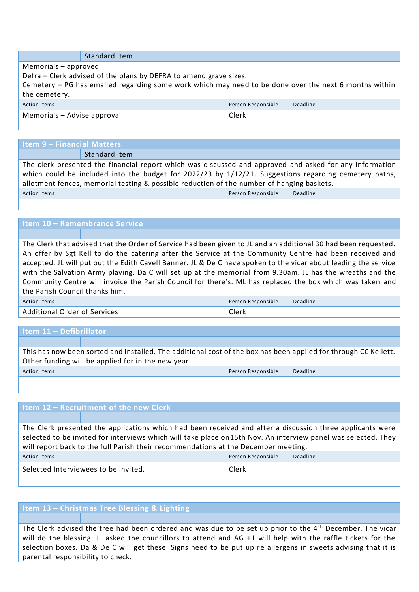| <b>Standard Item</b> |  |  |
|----------------------|--|--|
|----------------------|--|--|

Memorials – approved

Defra – Clerk advised of the plans by DEFRA to amend grave sizes.

Cemetery – PG has emailed regarding some work which may need to be done over the next 6 months within the cemetery.

| Action Items                | Person Responsible | Deadline |
|-----------------------------|--------------------|----------|
| Memorials - Advise approval | Clerk              |          |
|                             |                    |          |

# **Item 9 – Financial Matters**

Standard Item

The clerk presented the financial report which was discussed and approved and asked for any information which could be included into the budget for 2022/23 by 1/12/21. Suggestions regarding cemetery paths, allotment fences, memorial testing & possible reduction of the number of hanging baskets. Action Items Person Responsible Deadline

## **Item 10 – Remembrance Service**

The Clerk that advised that the Order of Service had been given to JL and an additional 30 had been requested. An offer by Sgt Kell to do the catering after the Service at the Community Centre had been received and accepted. JL will put out the Edith Cavell Banner. JL & De C have spoken to the vicar about leading the service with the Salvation Army playing. Da C will set up at the memorial from 9.30am. JL has the wreaths and the Community Centre will invoice the Parish Council for there's. ML has replaced the box which was taken and the Parish Council thanks him.

| Action Items                        | Person Responsible | Deadline |
|-------------------------------------|--------------------|----------|
| <b>Additional Order of Services</b> | Clerk              |          |

## **Item 11 – Defibrillator**

This has now been sorted and installed. The additional cost of the box has been applied for through CC Kellett. Other funding will be applied for in the new year.

| Action Items | Person Responsible | Deadline |
|--------------|--------------------|----------|
|              |                    |          |

#### **Item 12 – Recruitment of the new Clerk**

The Clerk presented the applications which had been received and after a discussion three applicants were selected to be invited for interviews which will take place on15th Nov. An interview panel was selected. They will report back to the full Parish their recommendations at the December meeting.

| <b>Action Items</b>                  | Person Responsible | Deadline |
|--------------------------------------|--------------------|----------|
| Selected Interviewees to be invited. | Clerk              |          |
|                                      |                    |          |

#### **Item 13 – Christmas Tree Blessing & Lighting**

The Clerk advised the tree had been ordered and was due to be set up prior to the 4th December. The vicar will do the blessing. JL asked the councillors to attend and AG +1 will help with the raffle tickets for the selection boxes. Da & De C will get these. Signs need to be put up re allergens in sweets advising that it is parental responsibility to check.